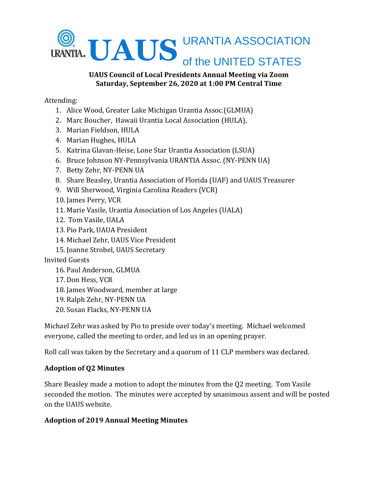

#### **UAUS Council of Local Presidents Annual Meeting via Zoom Saturday, September 26, 2020 at 1:00 PM Central Time**

Attending:

- 1. Alice Wood, Greater Lake Michigan Urantia Assoc.(GLMUA)
- 2. Marc Boucher, Hawaii Urantia Local Association (HULA),
- 3. Marian Fieldson, HULA
- 4. Marian Hughes, HULA
- 5. Katrina Glavan-Heise, Lone Star Urantia Association (LSUA)
- 6. Bruce Johnson NY-Pennsylvania URANTIA Assoc. (NY-PENN UA)
- 7. Betty Zehr, NY-PENN UA
- 8. Share Beasley, Urantia Association of Florida (UAF) and UAUS Treasurer
- 9. Will Sherwood, Virginia Carolina Readers (VCR)
- 10. James Perry, VCR
- 11. Marie Vasile, Urantia Association of Los Angeles (UALA)
- 12. Tom Vasile, UALA
- 13. Pio Park, UAUA President
- 14. Michael Zehr, UAUS Vice President
- 15. Joanne Strobel, UAUS Secretary

Invited Guests

- 16. Paul Anderson, GLMUA
- 17. Don Hess, VCR
- 18. James Woodward, member at large
- 19. Ralph Zehr, NY-PENN UA
- 20. Susan Flacks, NY-PENN UA

Michael Zehr was asked by Pio to preside over today's meeting. Michael welcomed everyone, called the meeting to order, and led us in an opening prayer.

Roll call was taken by the Secretary and a quorum of 11 CLP members was declared.

## **Adoption of Q2 Minutes**

Share Beasley made a motion to adopt the minutes from the Q2 meeting. Tom Vasile seconded the motion. The minutes were accepted by unanimous assent and will be posted on the UAUS website.

## **Adoption of 2019 Annual Meeting Minutes**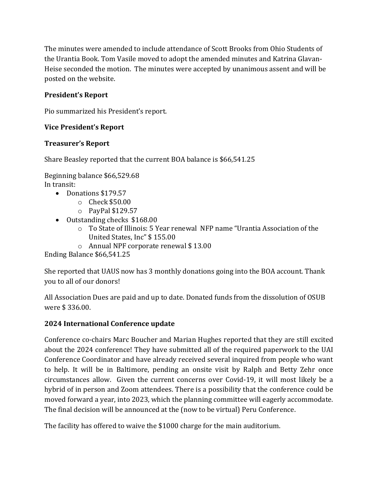The minutes were amended to include attendance of Scott Brooks from Ohio Students of the Urantia Book. Tom Vasile moved to adopt the amended minutes and Katrina Glavan-Heise seconded the motion. The minutes were accepted by unanimous assent and will be posted on the website.

# **President's Report**

Pio summarized his President's report.

## **Vice President's Report**

## **Treasurer's Report**

Share Beasley reported that the current BOA balance is \$66,541.25

Beginning balance \$66,529.68 In transit:

- Donations \$179.57
	- o Check \$50.00
	- o PayPal \$129.57
- Outstanding checks \$168.00
	- o To State of Illinois: 5 Year renewal NFP name "Urantia Association of the United States, Inc" \$ 155.00
	- o Annual NPF corporate renewal \$ 13.00

Ending Balance \$66,541.25

She reported that UAUS now has 3 monthly donations going into the BOA account. Thank you to all of our donors!

All Association Dues are paid and up to date. Donated funds from the dissolution of OSUB were \$ 336.00.

## **2024 International Conference update**

Conference co-chairs Marc Boucher and Marian Hughes reported that they are still excited about the 2024 conference! They have submitted all of the required paperwork to the UAI Conference Coordinator and have already received several inquired from people who want to help. It will be in Baltimore, pending an onsite visit by Ralph and Betty Zehr once circumstances allow. Given the current concerns over Covid-19, it will most likely be a hybrid of in person and Zoom attendees. There is a possibility that the conference could be moved forward a year, into 2023, which the planning committee will eagerly accommodate. The final decision will be announced at the (now to be virtual) Peru Conference.

The facility has offered to waive the \$1000 charge for the main auditorium.